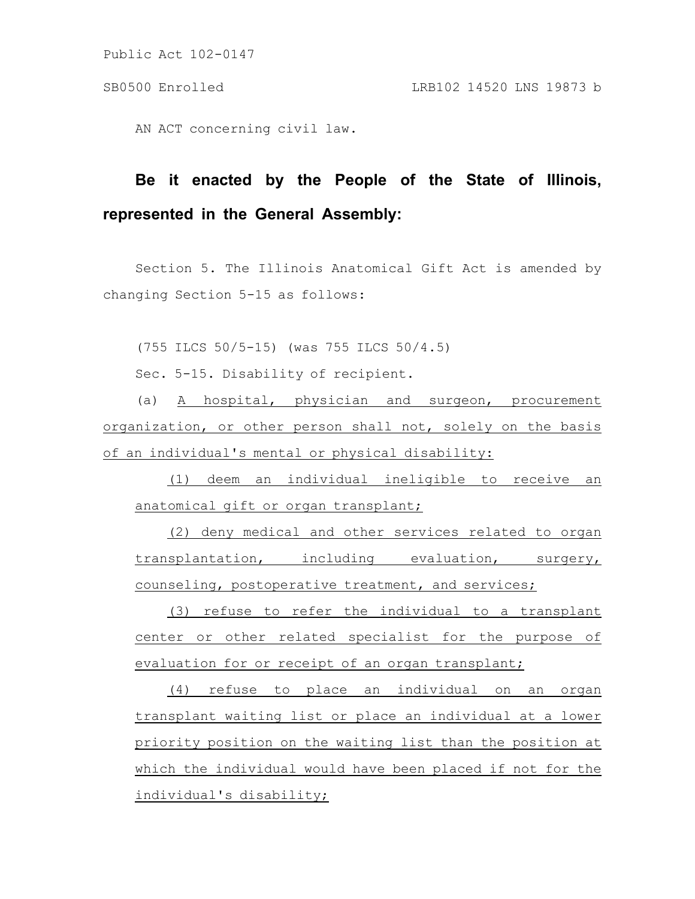Public Act 102-0147

## SB0500 Enrolled LRB102 14520 LNS 19873 b

AN ACT concerning civil law.

## **Be it enacted by the People of the State of Illinois, represented in the General Assembly:**

Section 5. The Illinois Anatomical Gift Act is amended by changing Section 5-15 as follows:

(755 ILCS 50/5-15) (was 755 ILCS 50/4.5)

Sec. 5-15. Disability of recipient.

(a) A hospital, physician and surgeon, procurement organization, or other person shall not, solely on the basis of an individual's mental or physical disability:

(1) deem an individual ineligible to receive an anatomical gift or organ transplant;

(2) deny medical and other services related to organ transplantation, including evaluation, surgery, counseling, postoperative treatment, and services;

(3) refuse to refer the individual to a transplant center or other related specialist for the purpose of evaluation for or receipt of an organ transplant;

(4) refuse to place an individual on an organ transplant waiting list or place an individual at a lower priority position on the waiting list than the position at which the individual would have been placed if not for the individual's disability;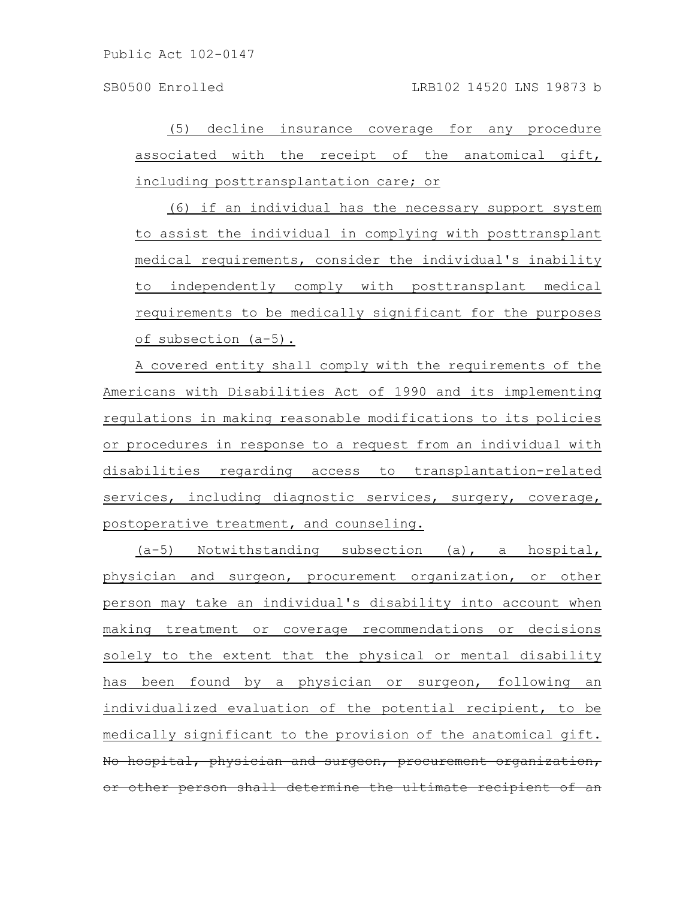Public Act 102-0147

(5) decline insurance coverage for any procedure associated with the receipt of the anatomical gift, including posttransplantation care; or

(6) if an individual has the necessary support system to assist the individual in complying with posttransplant medical requirements, consider the individual's inability to independently comply with posttransplant medical requirements to be medically significant for the purposes of subsection (a-5).

A covered entity shall comply with the requirements of the Americans with Disabilities Act of 1990 and its implementing regulations in making reasonable modifications to its policies or procedures in response to a request from an individual with disabilities regarding access to transplantation-related services, including diagnostic services, surgery, coverage, postoperative treatment, and counseling.

(a-5) Notwithstanding subsection (a), a hospital, physician and surgeon, procurement organization, or other person may take an individual's disability into account when making treatment or coverage recommendations or decisions solely to the extent that the physical or mental disability has been found by a physician or surgeon, following an individualized evaluation of the potential recipient, to be medically significant to the provision of the anatomical gift. No hospital, physician and surgeon, procurement organization, or other person shall determine the ultimate recipient of an